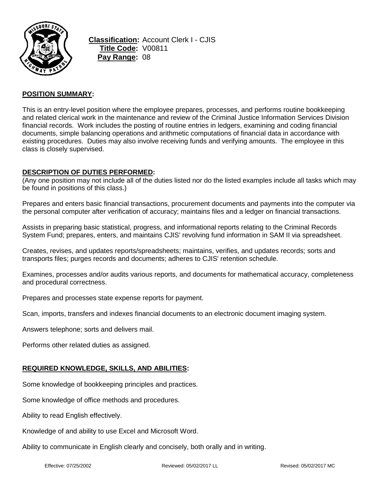

**Classification:** Account Clerk I - CJIS **Title Code:** V00811 **Pay Range:** 08

## **POSITION SUMMARY:**

This is an entry-level position where the employee prepares, processes, and performs routine bookkeeping and related clerical work in the maintenance and review of the Criminal Justice Information Services Division financial records. Work includes the posting of routine entries in ledgers, examining and coding financial documents, simple balancing operations and arithmetic computations of financial data in accordance with existing procedures. Duties may also involve receiving funds and verifying amounts. The employee in this class is closely supervised.

## **DESCRIPTION OF DUTIES PERFORMED:**

(Any one position may not include all of the duties listed nor do the listed examples include all tasks which may be found in positions of this class.)

Prepares and enters basic financial transactions, procurement documents and payments into the computer via the personal computer after verification of accuracy; maintains files and a ledger on financial transactions.

Assists in preparing basic statistical, progress, and informational reports relating to the Criminal Records System Fund; prepares, enters, and maintains CJIS' revolving fund information in SAM II via spreadsheet.

Creates, revises, and updates reports/spreadsheets; maintains, verifies, and updates records; sorts and transports files; purges records and documents; adheres to CJIS' retention schedule.

Examines, processes and/or audits various reports, and documents for mathematical accuracy, completeness and procedural correctness.

Prepares and processes state expense reports for payment.

Scan, imports, transfers and indexes financial documents to an electronic document imaging system.

Answers telephone; sorts and delivers mail.

Performs other related duties as assigned.

### **REQUIRED KNOWLEDGE, SKILLS, AND ABILITIES:**

Some knowledge of bookkeeping principles and practices.

Some knowledge of office methods and procedures.

Ability to read English effectively.

Knowledge of and ability to use Excel and Microsoft Word.

Ability to communicate in English clearly and concisely, both orally and in writing.